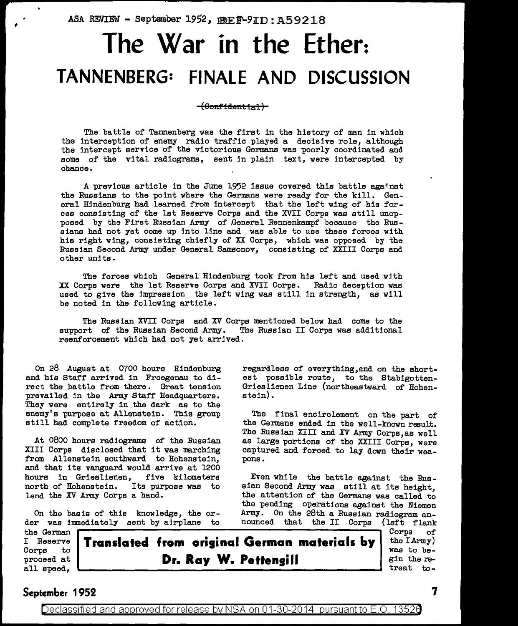ASA REVIEW - September 1952, IREF-9ID: A59218

## **The War in the Ether: TANNENBERG: FINALE AND DISCUSSION**

**(8onfidautlal)** 

The battle of Tannenberg was the first in the history of man in which the interception of enemy radio traffic played a decisive role, although the intercept service of the victorious Germana was poorly coordinated and some of the vital radiograms, sent jn plain text, were intercepted by chance.

A previous article in the June 1952 issue covered this battle against the Russians to the point where the Germana were ready for the kill. General Hindenburg had learned from intercept that the left wing of his forces consisting of the lat Reserve Corps and the XVII Corps was still unopposed by the First Russian Army of General Rennenkampf because the Russians had not yet come up into line and was able to use these forces with his right wing, consisting chiefly of XX Corps, which was opposed by the Russian Second Army under General Samsonov, consisting of XXIII Corps and other units.

The forces which General Hindenburg took from his left and used wjth XX Corps were the lat Reserve Corps and XVII Corps. Badia deception was used to give the impression the left wing was still in strength, as will be noted in the following article.

The Russian XVII Corps and XV Corps mentioned below had come to the support of the Russian Second Army. reenforcement which had not yet arrived.

On 28 August at 0700 hours Hindenburg and his Staff arrived in Froegenau to direct the battle from there. Great tension prevailed in the Army Staff Headquarters. They were entirely in the dark as to the enemy's purpose at Allenstein. This group still had complete freedom of action.

At 0800 hours radiograms of the Russian XIII Corps disclosed that it was marching from Allenstein southward to Hohenstein, and that its vanguard would arrive at 1200 hours in Grieslienen, five kilometers<br>north\_of\_Hohenstein. Its\_purpose\_was\_to north of Hohenstein. lend the XV Army Corps a hand.

On the basis of this knowledge, the order was immediately sent by airplane to regardless of everything,and on the shortest possible route, to the Stabigotten-Grieslienen Line (northeastward of Hohenstein).

The final encirclement on the part of the Germans ended in the well-known result. The Russian XIII and XV Army Corps, as well as large portions of the XXIII Corps, were captured and forced to lay down their weapons.

Even while the battle against the Russian Second Army was still at its height, the attention of the Germana was called to the pending operations against the Niemen Army. On the 28th a Russian radiogram announced that the II Corps (left flank

the German I Reserve Corps to proceed at all speed,

**Translated from original German materials by Dr. Ray W. Pettengill** 

Corps of the  $I$ Army) was to begin the retreat to-

## **September 1952 7**

Declassified and approved for release by NSA on 01-30-2014 pursuant to E.O. 13526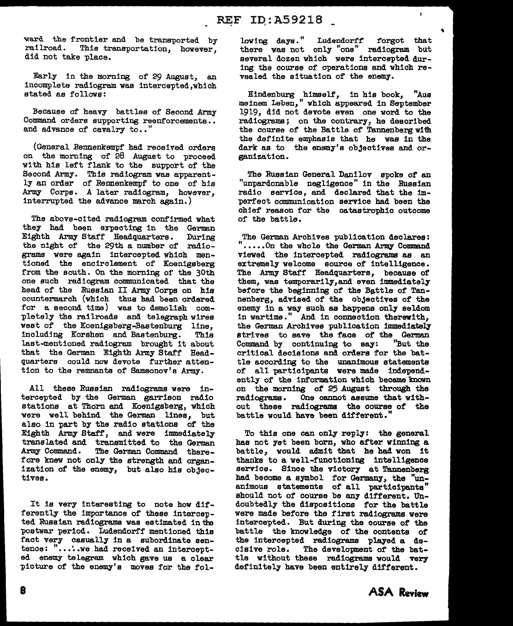ward the frontier and be transported by<br>railroad. This transportation, however, This transportation, however, did not take place.

Early in the morning of 29 August, an incomplete radiogram was intercepted,which stated as follows:

Because of heavy battles of Second Army Command orders supporting reenforcements.. and advance of cavalry to.."

(General Rennenkempf had received orders on the morning of 28 August to proceed with his left flank to the support of the Second Army. This radiogram was apparently an order of Rennenkempf to one of his Army Corps. A later radiogram, however, interrupted the advance march again.)

The above-cited radiogram confirmed what they had been expecting in the German Eighth Army Staff Headquarters. During the night of the 29th a number of radiograms were again intercepted which mentioned the encirclement of Koenigsberg from the south. On the morning of the 30th one such radiogram communicated that the head of the Russian II Army Corps on his countermarch (which thus had been ordered for a second time) was to demolish completely the railroads and telegraph wires west of the Koenigsberg-Bastenburg line,<br>including Korshen and Bastenburg. This including Korshen and Bastenburg. last-mentioned radiogram brought it about that the German Eighth Army Staff Headquarters could now devote further attention to the remnants of Samsonov's Army.

All these Russian radiograms were intercepted by the German garrison radio stations at Thorn and Koenigsberg, which were we 11 behind the German lines, but also in part by the radio stations of the Eighth Army Staff, and were immediately translated and transmitted to the German Army Command. The German Command therefore knew not only the strength and organization of the enemy, but also his objectives.

It is very interesting to note how differently the importance of these intercepted Russian radiograms was estimated in the 'postwar period. Ludendorff mentioned this fact very casually in a subordinate sentence: "....we had received an intercepted enemy telegram which gave us a clear picture of the enemy's moves for the fol-

lowing days." Ludendorff forgot that there was not only "one" radiogram but several dozen which were intercepted during the course of operations and which revealed the situation of the enemy.

 $\mathbf{t}$ 

Hindenburg himself, in his book, "Aus meinem Leben," which appeared in September 1919, did not devote even one word to the radiograms ; on the contrary, he described the course of the Battle of Tannenberg with the definite emphasis that he was in the dark as to the enemy's objectives and organization.

The Russian General Danilov spoke of an "unpardonable negligence" in the Russian radio service, and declared that the imperfect communication service had been the chief reason for the catastrophic outcome of the battle.

The German Archives publication declares: ".....On the whole the German Army Command viewed the intercepted radiograms as an extremely welcome source of intelligence. The Army Staff Headquarters, because of them, was temporarily,and even immediately before the beginning of the Battle of Tannenberg, advised of the objectives of the enemy in a way such as happens only seldom in wartime." And in connection therewith, the German Archives publication immediately strives to save the face of the German<br>Command by continuing to say: "But the Command by continuing to say: critical decisions and orders for the battle according to the unanimous statements of all participants were made independently of the information which became known on the morning of 25 August through the radiograms. One cannot assume that without these radiograms the course of the battle would have been different.'

To this one can only reply: the general has not yet been born, who after winning a battle, would admit that he had won it thanks to a well-functioning intelligence service. Since the victory at Tannenberg had become a symbol for Germany, the "unanimous statements of all participants" should not of course be any different. Undoubtedly the dispositions for the battle were made before the first radiograms were intercepted. But during the course of the battle the knowledge of the contents of the intercepted radiograms played a decisive role. The development of the battle without these radiograms would very definitely have been entirely different.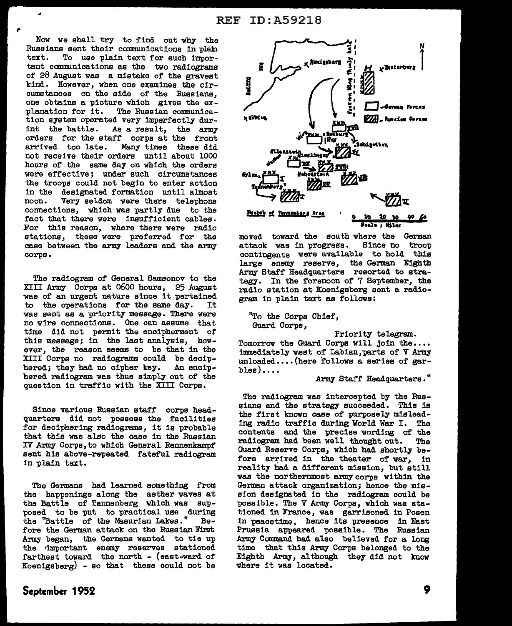Now we shall try to find out why the Russians sent their communications in plafn text. To use plain text for such tmportant communications as the two radiograms of 28 August was a mistake of the gravest kind. However, when one examines the circumstances on the aide of the Russians, one obtains a picture which gives the ex-<br>planation for it. The Russian communica-The Russian communication system operated very imperfectly durint the battle. As a result, the army orders for the staff corps at the front Many times these did not receive their orders until about 1000 hours of the same day on which the orders were effective; under such circumstances the troops could not begin to enter action in the designated formation until almost noon. Very seldom were there telephone connections, which was partly due to the fact that there were insufficient cables. For this reason, where there were radio stations, these were preferred for the case between the army leaders and the army corps.

The radiogram of General Samsonov to the XIII Army Corps at 0600 hours, 25 August was of an urgent nature since it pertained<br>to the operations for the same day. It to the operations for the same day. was sent as a priority message. There were no wire connections. One can assume that time did not permit the encipherment of this message; in the last analysis, however, the reason seems to be that in the XIII Corps no radiograms could be deciphered; they had no cipher key. An enctphered radiogram was thus simply out of the question in traffic with the XIII Corps.

Since various Russian staff corps headquarters did not possess the facilities for deciphering radiograms, it is probable that this was also the case in the Russian IV Army Corps, to which General Rennenkampf sent his above-repeated fateful radiogram in plain text.

The Germans had learned something from the happenings along the aether waves at the Battle of Tannenberg which was supposed to be put to practical use during<br>the "Battle of the Masurian Lakes." Bethe "Battle of the Masurian Lakes." fore the German attack on the Russian First Army began, the Germann wanted to tie up the •important enemy reserves stationed farthest toward the north - (east-ward of Koenigsberg) - so that these could not be



moved toward the south where the German<br>attack was in progress. Since no troop attack was in progress. contingents were available to hold this large enemy reserve, the German Eighth Army Staff Headquarters resorted to strategy. In the forenoon of 7 September, the radio station at Koenigsberg sent a radiogram in plain text as follows:

"To the Corps Chief, Guard Corpe,

Priority telegram.

Tomorrow the Guard Corps will join the.... immediately west of Labiau, parts of  $V$  Army unloaded....(here follows a series of gar $blue) \dots$ 

Army Staff Headquarters."

The radiogram was intercepted by the Russians and the strategy succeeded. This is the first known case of purposely mislead-<br>ing radio traffic during World War I. The ing radio traffic during World War I. contents and the precise wording of the radiogram had been well thought out. The Guard Reserve Corpe, which had shortly before arrived in the theater of war, in reality had a different mission, but still was the northernmost army corps within the German attack organization; hence the mission designated in the radiogram could be possible. The V Army Corps, which was stationed in France, was garrisoned in Posen in peacetime, hence its presence in East Prussia appeared possible. The Russian Army Command had also believed for a long time that this Army Corps belonged to the Eighth Army, although they did not know where it was located.